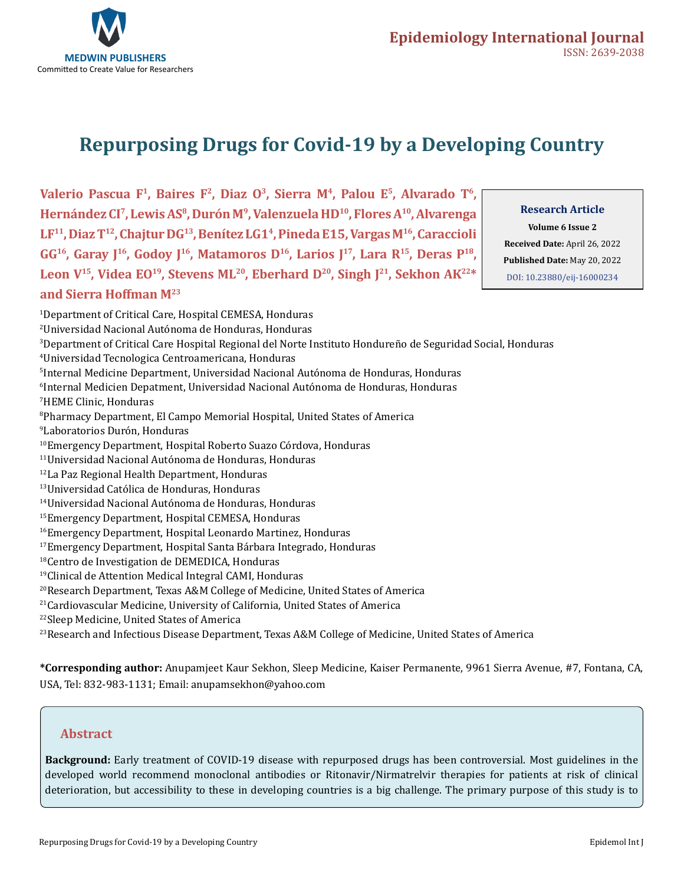

# **Repurposing Drugs for Covid-19 by a Developing Country**

Valerio Pascua F<sup>1</sup>, Baires F<sup>2</sup>, Diaz O<sup>3</sup>, Sierra M<sup>4</sup>, Palou E<sup>5</sup>, Alvarado T<sup>6</sup>, **Hernández CI7, Lewis AS8, Durón M9, Valenzuela HD10, Flores A10, Alvarenga LF11, Diaz T12, Chajtur DG13, Benítez LG14, Pineda E15, Vargas M16, Caraccioli**  GG<sup>16</sup>, Garay J<sup>16</sup>, Godoy J<sup>16</sup>, Matamoros D<sup>16</sup>, Larios J<sup>17</sup>, Lara R<sup>15</sup>, Deras P<sup>18</sup>, Leon V<sup>15</sup>, Videa EO<sup>19</sup>, Stevens ML<sup>20</sup>, Eberhard D<sup>20</sup>, Singh J<sup>21</sup>, Sekhon AK<sup>22\*</sup> **and Sierra Hoffman M23**

### **Research Article**

**Volume 6 Issue 2 Received Date:** April 26, 2022 **Published Date:** May 20, 2022 [DOI: 10.23880/eij-16000234](https://doi.org/10.23880/eij-16000234)

1 Department of Critical Care, Hospital CEMESA, Honduras 2 Universidad Nacional Autónoma de Honduras, Honduras 3 Department of Critical Care Hospital Regional del Norte Instituto Hondureño de Seguridad Social, Honduras 4 Universidad Tecnologica Centroamericana, Honduras 5 Internal Medicine Department, Universidad Nacional Autónoma de Honduras, Honduras 6 Internal Medicien Depatment, Universidad Nacional Autónoma de Honduras, Honduras 7 HEME Clinic, Honduras 8 Pharmacy Department, El Campo Memorial Hospital, United States of America 9 Laboratorios Durón, Honduras 10Emergency Department, Hospital Roberto Suazo Córdova, Honduras 11Universidad Nacional Autónoma de Honduras, Honduras 12La Paz Regional Health Department, Honduras 13Universidad Católica de Honduras, Honduras 14Universidad Nacional Autónoma de Honduras, Honduras 15Emergency Department, Hospital CEMESA, Honduras 16Emergency Department, Hospital Leonardo Martinez, Honduras 17Emergency Department, Hospital Santa Bárbara Integrado, Honduras 18Centro de Investigation de DEMEDICA, Honduras 19Clinical de Attention Medical Integral CAMI, Honduras 20Research Department, Texas A&M College of Medicine, United States of America <sup>21</sup>Cardiovascular Medicine, University of California, United States of America 22Sleep Medicine, United States of America

 $^{23}$ Research and Infectious Disease Department, Texas A&M College of Medicine, United States of America

**\*Corresponding author:** Anupamjeet Kaur Sekhon, Sleep Medicine, Kaiser Permanente, 9961 Sierra Avenue, #7, Fontana, CA, USA, Tel: 832-983-1131; Email: anupamsekhon@yahoo.com

### **Abstract**

**Background:** Early treatment of COVID-19 disease with repurposed drugs has been controversial. Most guidelines in the developed world recommend monoclonal antibodies or Ritonavir/Nirmatrelvir therapies for patients at risk of clinical deterioration, but accessibility to these in developing countries is a big challenge. The primary purpose of this study is to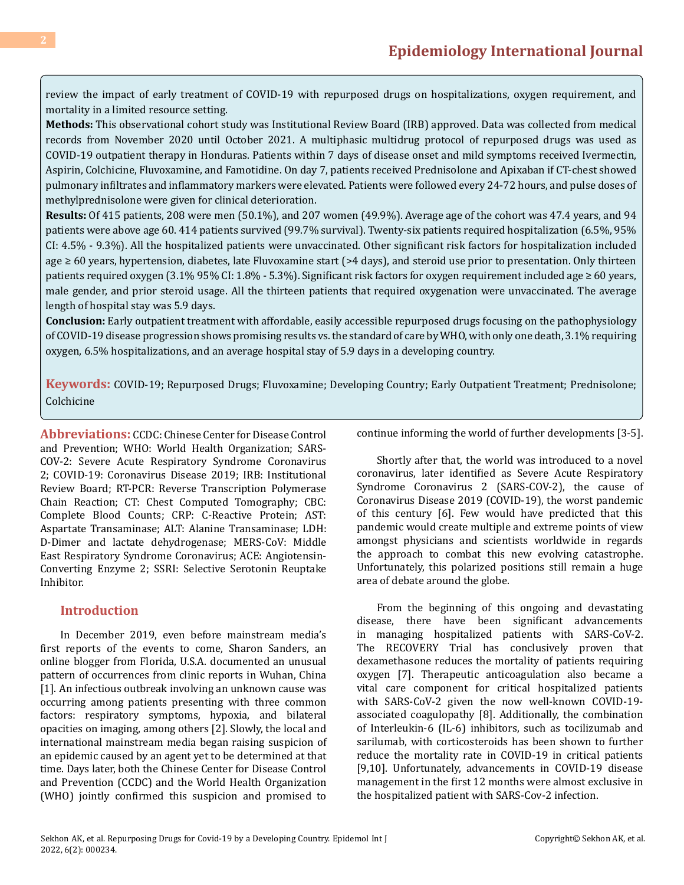review the impact of early treatment of COVID-19 with repurposed drugs on hospitalizations, oxygen requirement, and mortality in a limited resource setting.

**Methods:** This observational cohort study was Institutional Review Board (IRB) approved. Data was collected from medical records from November 2020 until October 2021. A multiphasic multidrug protocol of repurposed drugs was used as COVID-19 outpatient therapy in Honduras. Patients within 7 days of disease onset and mild symptoms received Ivermectin, Aspirin, Colchicine, Fluvoxamine, and Famotidine. On day 7, patients received Prednisolone and Apixaban if CT-chest showed pulmonary infiltrates and inflammatory markers were elevated. Patients were followed every 24-72 hours, and pulse doses of methylprednisolone were given for clinical deterioration.

**Results:** Of 415 patients, 208 were men (50.1%), and 207 women (49.9%). Average age of the cohort was 47.4 years, and 94 patients were above age 60. 414 patients survived (99.7% survival). Twenty-six patients required hospitalization (6.5%, 95% CI: 4.5% - 9.3%). All the hospitalized patients were unvaccinated. Other significant risk factors for hospitalization included age ≥ 60 years, hypertension, diabetes, late Fluvoxamine start (>4 days), and steroid use prior to presentation. Only thirteen patients required oxygen (3.1% 95% CI: 1.8% - 5.3%). Significant risk factors for oxygen requirement included age ≥ 60 years, male gender, and prior steroid usage. All the thirteen patients that required oxygenation were unvaccinated. The average length of hospital stay was 5.9 days.

**Conclusion:** Early outpatient treatment with affordable, easily accessible repurposed drugs focusing on the pathophysiology of COVID-19 disease progression shows promising results vs. the standard of care by WHO, with only one death, 3.1% requiring oxygen, 6.5% hospitalizations, and an average hospital stay of 5.9 days in a developing country.

**Keywords:** COVID-19; Repurposed Drugs; Fluvoxamine; Developing Country; Early Outpatient Treatment; Prednisolone; Colchicine

**Abbreviations:** CCDC: Chinese Center for Disease Control and Prevention; WHO: World Health Organization; SARS-COV-2: Severe Acute Respiratory Syndrome Coronavirus 2; COVID-19: Coronavirus Disease 2019; IRB: Institutional Review Board; RT-PCR: Reverse Transcription Polymerase Chain Reaction; CT: Chest Computed Tomography; CBC: Complete Blood Counts; CRP: C-Reactive Protein; AST: Aspartate Transaminase; ALT: Alanine Transaminase; LDH: D-Dimer and lactate dehydrogenase; MERS-CoV: Middle East Respiratory Syndrome Coronavirus; ACE: Angiotensin-Converting Enzyme 2; SSRI: Selective Serotonin Reuptake Inhibitor.

### **Introduction**

In December 2019, even before mainstream media's first reports of the events to come, Sharon Sanders, an online blogger from Florida, U.S.A. documented an unusual pattern of occurrences from clinic reports in Wuhan, China [1]. An infectious outbreak involving an unknown cause was occurring among patients presenting with three common factors: respiratory symptoms, hypoxia, and bilateral opacities on imaging, among others [2]. Slowly, the local and international mainstream media began raising suspicion of an epidemic caused by an agent yet to be determined at that time. Days later, both the Chinese Center for Disease Control and Prevention (CCDC) and the World Health Organization (WHO) jointly confirmed this suspicion and promised to continue informing the world of further developments [3-5].

Shortly after that, the world was introduced to a novel coronavirus, later identified as Severe Acute Respiratory Syndrome Coronavirus 2 (SARS-COV-2), the cause of Coronavirus Disease 2019 (COVID-19), the worst pandemic of this century [6]. Few would have predicted that this pandemic would create multiple and extreme points of view amongst physicians and scientists worldwide in regards the approach to combat this new evolving catastrophe. Unfortunately, this polarized positions still remain a huge area of debate around the globe.

From the beginning of this ongoing and devastating disease, there have been significant advancements in managing hospitalized patients with SARS-CoV-2. The RECOVERY Trial has conclusively proven that dexamethasone reduces the mortality of patients requiring oxygen [7]. Therapeutic anticoagulation also became a vital care component for critical hospitalized patients with SARS-CoV-2 given the now well-known COVID-19 associated coagulopathy [8]. Additionally, the combination of Interleukin-6 (IL-6) inhibitors, such as tocilizumab and sarilumab, with corticosteroids has been shown to further reduce the mortality rate in COVID-19 in critical patients [9,10]. Unfortunately, advancements in COVID-19 disease management in the first 12 months were almost exclusive in the hospitalized patient with SARS-Cov-2 infection.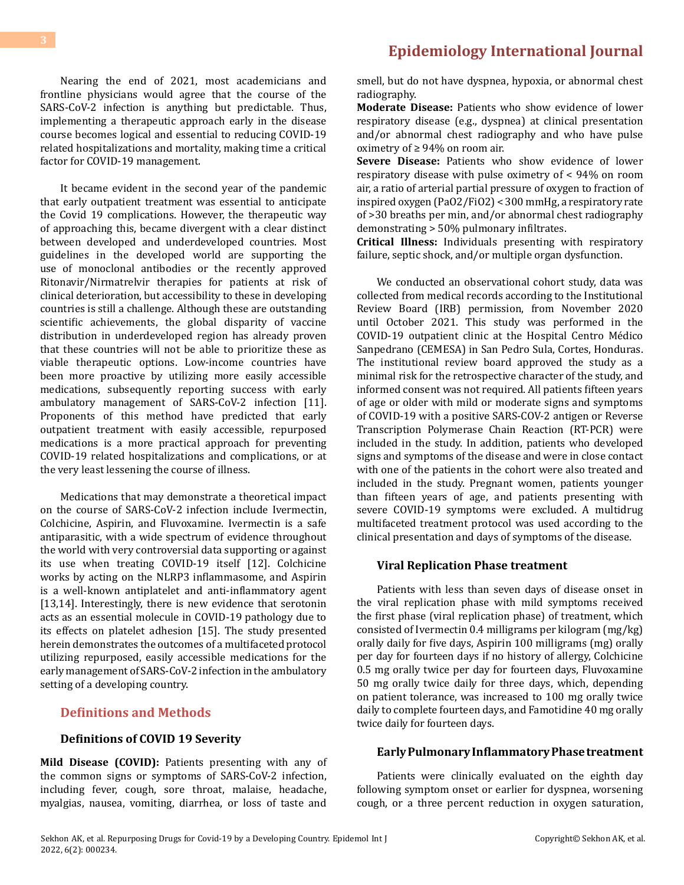Nearing the end of 2021, most academicians and frontline physicians would agree that the course of the SARS-CoV-2 infection is anything but predictable. Thus, implementing a therapeutic approach early in the disease course becomes logical and essential to reducing COVID-19 related hospitalizations and mortality, making time a critical factor for COVID-19 management.

It became evident in the second year of the pandemic that early outpatient treatment was essential to anticipate the Covid 19 complications. However, the therapeutic way of approaching this, became divergent with a clear distinct between developed and underdeveloped countries. Most guidelines in the developed world are supporting the use of monoclonal antibodies or the recently approved Ritonavir/Nirmatrelvir therapies for patients at risk of clinical deterioration, but accessibility to these in developing countries is still a challenge. Although these are outstanding scientific achievements, the global disparity of vaccine distribution in underdeveloped region has already proven that these countries will not be able to prioritize these as viable therapeutic options. Low-income countries have been more proactive by utilizing more easily accessible medications, subsequently reporting success with early ambulatory management of SARS-CoV-2 infection [11]. Proponents of this method have predicted that early outpatient treatment with easily accessible, repurposed medications is a more practical approach for preventing COVID-19 related hospitalizations and complications, or at the very least lessening the course of illness.

Medications that may demonstrate a theoretical impact on the course of SARS-CoV-2 infection include Ivermectin, Colchicine, Aspirin, and Fluvoxamine. Ivermectin is a safe antiparasitic, with a wide spectrum of evidence throughout the world with very controversial data supporting or against its use when treating COVID-19 itself [12]. Colchicine works by acting on the NLRP3 inflammasome, and Aspirin is a well-known antiplatelet and anti-inflammatory agent [13,14]. Interestingly, there is new evidence that serotonin acts as an essential molecule in COVID-19 pathology due to its effects on platelet adhesion [15]. The study presented herein demonstrates the outcomes of a multifaceted protocol utilizing repurposed, easily accessible medications for the early management of SARS-CoV-2 infection in the ambulatory setting of a developing country.

### **Definitions and Methods**

### **Definitions of COVID 19 Severity**

**Mild Disease (COVID):** Patients presenting with any of the common signs or symptoms of SARS-CoV-2 infection, including fever, cough, sore throat, malaise, headache, myalgias, nausea, vomiting, diarrhea, or loss of taste and smell, but do not have dyspnea, hypoxia, or abnormal chest radiography.

**Moderate Disease:** Patients who show evidence of lower respiratory disease (e.g., dyspnea) at clinical presentation and/or abnormal chest radiography and who have pulse oximetry of ≥ 94% on room air.

**Severe Disease:** Patients who show evidence of lower respiratory disease with pulse oximetry of < 94% on room air, a ratio of arterial partial pressure of oxygen to fraction of inspired oxygen (PaO2/FiO2) < 300 mmHg, a respiratory rate of >30 breaths per min, and/or abnormal chest radiography demonstrating > 50% pulmonary infiltrates.

**Critical Illness:** Individuals presenting with respiratory failure, septic shock, and/or multiple organ dysfunction.

We conducted an observational cohort study, data was collected from medical records according to the Institutional Review Board (IRB) permission, from November 2020 until October 2021. This study was performed in the COVID-19 outpatient clinic at the Hospital Centro Médico Sanpedrano (CEMESA) in San Pedro Sula, Cortes, Honduras. The institutional review board approved the study as a minimal risk for the retrospective character of the study, and informed consent was not required. All patients fifteen years of age or older with mild or moderate signs and symptoms of COVID-19 with a positive SARS-COV-2 antigen or Reverse Transcription Polymerase Chain Reaction (RT-PCR) were included in the study. In addition, patients who developed signs and symptoms of the disease and were in close contact with one of the patients in the cohort were also treated and included in the study. Pregnant women, patients younger than fifteen years of age, and patients presenting with severe COVID-19 symptoms were excluded. A multidrug multifaceted treatment protocol was used according to the clinical presentation and days of symptoms of the disease.

#### **Viral Replication Phase treatment**

Patients with less than seven days of disease onset in the viral replication phase with mild symptoms received the first phase (viral replication phase) of treatment, which consisted of Ivermectin 0.4 milligrams per kilogram (mg/kg) orally daily for five days, Aspirin 100 milligrams (mg) orally per day for fourteen days if no history of allergy, Colchicine 0.5 mg orally twice per day for fourteen days, Fluvoxamine 50 mg orally twice daily for three days, which, depending on patient tolerance, was increased to 100 mg orally twice daily to complete fourteen days, and Famotidine 40 mg orally twice daily for fourteen days.

#### **Early Pulmonary Inflammatory Phase treatment**

Patients were clinically evaluated on the eighth day following symptom onset or earlier for dyspnea, worsening cough, or a three percent reduction in oxygen saturation,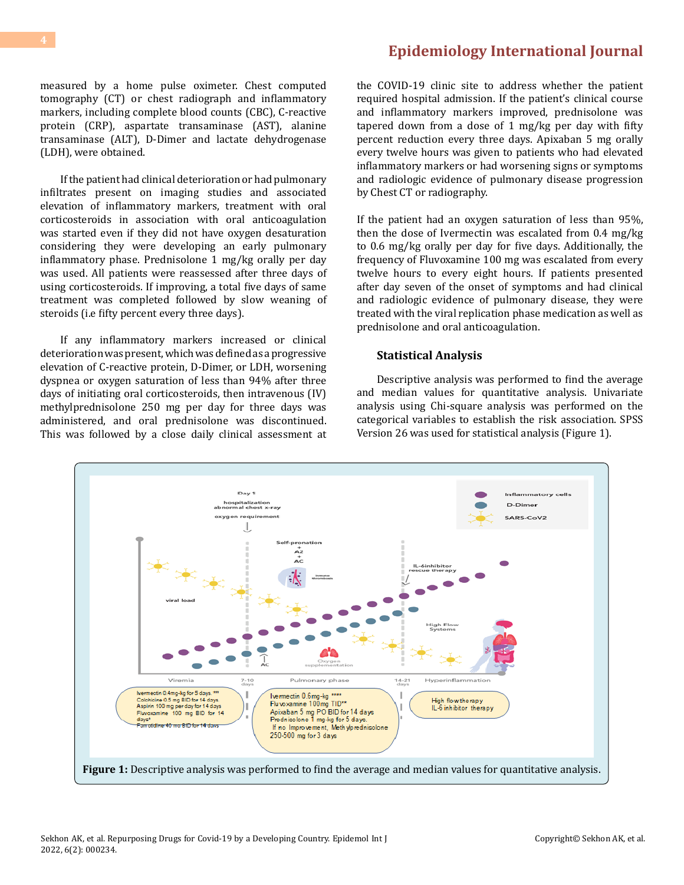measured by a home pulse oximeter. Chest computed tomography (CT) or chest radiograph and inflammatory markers, including complete blood counts (CBC), C-reactive protein (CRP), aspartate transaminase (AST), alanine transaminase (ALT), D-Dimer and lactate dehydrogenase (LDH), were obtained.

If the patient had clinical deterioration or had pulmonary infiltrates present on imaging studies and associated elevation of inflammatory markers, treatment with oral corticosteroids in association with oral anticoagulation was started even if they did not have oxygen desaturation considering they were developing an early pulmonary inflammatory phase. Prednisolone 1 mg/kg orally per day was used. All patients were reassessed after three days of using corticosteroids. If improving, a total five days of same treatment was completed followed by slow weaning of steroids (i.e fifty percent every three days).

If any inflammatory markers increased or clinical deterioration was present, which was defined as a progressive elevation of C-reactive protein, D-Dimer, or LDH, worsening dyspnea or oxygen saturation of less than 94% after three days of initiating oral corticosteroids, then intravenous (IV) methylprednisolone 250 mg per day for three days was administered, and oral prednisolone was discontinued. This was followed by a close daily clinical assessment at

the COVID-19 clinic site to address whether the patient required hospital admission. If the patient's clinical course and inflammatory markers improved, prednisolone was tapered down from a dose of 1 mg/kg per day with fifty percent reduction every three days. Apixaban 5 mg orally every twelve hours was given to patients who had elevated inflammatory markers or had worsening signs or symptoms and radiologic evidence of pulmonary disease progression by Chest CT or radiography.

If the patient had an oxygen saturation of less than 95%, then the dose of Ivermectin was escalated from 0.4 mg/kg to 0.6 mg/kg orally per day for five days. Additionally, the frequency of Fluvoxamine 100 mg was escalated from every twelve hours to every eight hours. If patients presented after day seven of the onset of symptoms and had clinical and radiologic evidence of pulmonary disease, they were treated with the viral replication phase medication as well as prednisolone and oral anticoagulation.

#### **Statistical Analysis**

Descriptive analysis was performed to find the average and median values for quantitative analysis. Univariate analysis using Chi-square analysis was performed on the categorical variables to establish the risk association. SPSS Version 26 was used for statistical analysis (Figure 1).

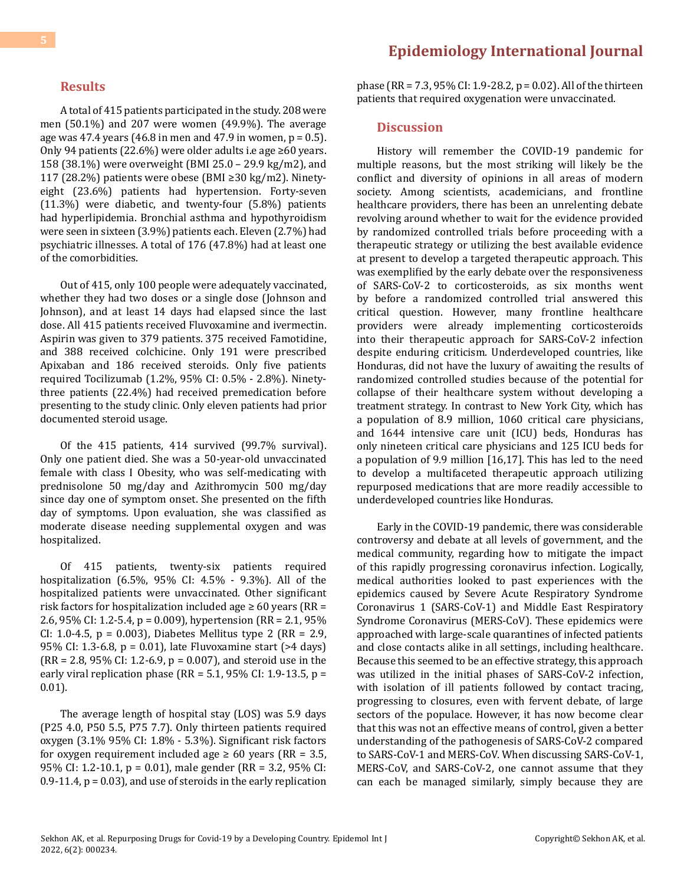### **Results**

A total of 415 patients participated in the study. 208 were men (50.1%) and 207 were women (49.9%). The average age was 47.4 years  $(46.8 \text{ in} \text{ men} \text{ and } 47.9 \text{ in} \text{ women}, \text{p} = 0.5)$ . Only 94 patients (22.6%) were older adults i.e age ≥60 years. 158 (38.1%) were overweight (BMI 25.0 – 29.9 kg/m2), and 117 (28.2%) patients were obese (BMI ≥30 kg/m2). Ninetyeight (23.6%) patients had hypertension. Forty-seven (11.3%) were diabetic, and twenty-four (5.8%) patients had hyperlipidemia. Bronchial asthma and hypothyroidism were seen in sixteen (3.9%) patients each. Eleven (2.7%) had psychiatric illnesses. A total of 176 (47.8%) had at least one of the comorbidities.

Out of 415, only 100 people were adequately vaccinated, whether they had two doses or a single dose (Johnson and Johnson), and at least 14 days had elapsed since the last dose. All 415 patients received Fluvoxamine and ivermectin. Aspirin was given to 379 patients. 375 received Famotidine, and 388 received colchicine. Only 191 were prescribed Apixaban and 186 received steroids. Only five patients required Tocilizumab (1.2%, 95% CI: 0.5% - 2.8%). Ninetythree patients (22.4%) had received premedication before presenting to the study clinic. Only eleven patients had prior documented steroid usage.

Of the 415 patients, 414 survived (99.7% survival). Only one patient died. She was a 50-year-old unvaccinated female with class I Obesity, who was self-medicating with prednisolone 50 mg/day and Azithromycin 500 mg/day since day one of symptom onset. She presented on the fifth day of symptoms. Upon evaluation, she was classified as moderate disease needing supplemental oxygen and was hospitalized.

Of 415 patients, twenty-six patients required hospitalization (6.5%, 95% CI: 4.5% - 9.3%). All of the hospitalized patients were unvaccinated. Other significant risk factors for hospitalization included age  $\geq 60$  years (RR = 2.6, 95% CI: 1.2-5.4, p = 0.009), hypertension (RR = 2.1, 95% CI: 1.0-4.5,  $p = 0.003$ ), Diabetes Mellitus type 2 (RR = 2.9, 95% CI: 1.3-6.8, p = 0.01), late Fluvoxamine start (>4 days)  $(RR = 2.8, 95\% \text{ CI: } 1.2 - 6.9, p = 0.007$ , and steroid use in the early viral replication phase (RR =  $5.1$ , 95% CI: 1.9-13.5, p = 0.01).

The average length of hospital stay (LOS) was 5.9 days (P25 4.0, P50 5.5, P75 7.7). Only thirteen patients required oxygen (3.1% 95% CI: 1.8% - 5.3%). Significant risk factors for oxygen requirement included age  $\geq 60$  years (RR = 3.5, 95% CI: 1.2-10.1, p = 0.01), male gender (RR = 3.2, 95% CI:  $0.9-11.4$ ,  $p = 0.03$ ), and use of steroids in the early replication

### **[Epidemiology International Journal](https://medwinpublishers.com/EIJ/)**

phase (RR = 7.3, 95% CI: 1.9-28.2, p = 0.02). All of the thirteen patients that required oxygenation were unvaccinated.

#### **Discussion**

History will remember the COVID-19 pandemic for multiple reasons, but the most striking will likely be the conflict and diversity of opinions in all areas of modern society. Among scientists, academicians, and frontline healthcare providers, there has been an unrelenting debate revolving around whether to wait for the evidence provided by randomized controlled trials before proceeding with a therapeutic strategy or utilizing the best available evidence at present to develop a targeted therapeutic approach. This was exemplified by the early debate over the responsiveness of SARS-CoV-2 to corticosteroids, as six months went by before a randomized controlled trial answered this critical question. However, many frontline healthcare providers were already implementing corticosteroids into their therapeutic approach for SARS-CoV-2 infection despite enduring criticism. Underdeveloped countries, like Honduras, did not have the luxury of awaiting the results of randomized controlled studies because of the potential for collapse of their healthcare system without developing a treatment strategy. In contrast to New York City, which has a population of 8.9 million, 1060 critical care physicians, and 1644 intensive care unit (ICU) beds, Honduras has only nineteen critical care physicians and 125 ICU beds for a population of 9.9 million [16,17]. This has led to the need to develop a multifaceted therapeutic approach utilizing repurposed medications that are more readily accessible to underdeveloped countries like Honduras.

Early in the COVID-19 pandemic, there was considerable controversy and debate at all levels of government, and the medical community, regarding how to mitigate the impact of this rapidly progressing coronavirus infection. Logically, medical authorities looked to past experiences with the epidemics caused by Severe Acute Respiratory Syndrome Coronavirus 1 (SARS-CoV-1) and Middle East Respiratory Syndrome Coronavirus (MERS-CoV). These epidemics were approached with large-scale quarantines of infected patients and close contacts alike in all settings, including healthcare. Because this seemed to be an effective strategy, this approach was utilized in the initial phases of SARS-CoV-2 infection, with isolation of ill patients followed by contact tracing, progressing to closures, even with fervent debate, of large sectors of the populace. However, it has now become clear that this was not an effective means of control, given a better understanding of the pathogenesis of SARS-CoV-2 compared to SARS-CoV-1 and MERS-CoV. When discussing SARS-CoV-1, MERS-CoV, and SARS-CoV-2, one cannot assume that they can each be managed similarly, simply because they are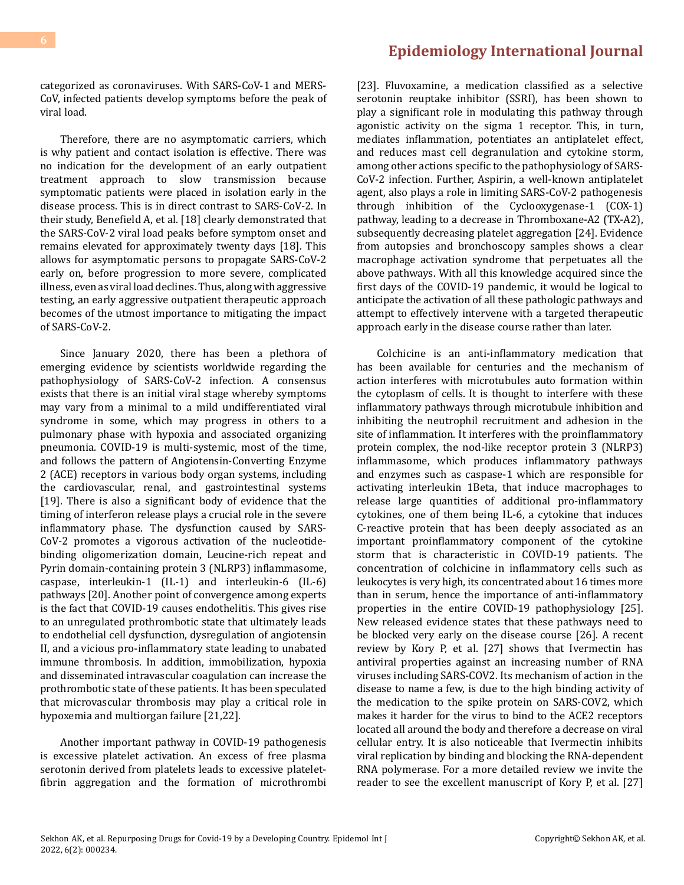categorized as coronaviruses. With SARS-CoV-1 and MERS-CoV, infected patients develop symptoms before the peak of viral load.

Therefore, there are no asymptomatic carriers, which is why patient and contact isolation is effective. There was no indication for the development of an early outpatient treatment approach to slow transmission because symptomatic patients were placed in isolation early in the disease process. This is in direct contrast to SARS-CoV-2. In their study, Benefield A, et al. [18] clearly demonstrated that the SARS-CoV-2 viral load peaks before symptom onset and remains elevated for approximately twenty days [18]. This allows for asymptomatic persons to propagate SARS-CoV-2 early on, before progression to more severe, complicated illness, even as viral load declines. Thus, along with aggressive testing, an early aggressive outpatient therapeutic approach becomes of the utmost importance to mitigating the impact of SARS-CoV-2.

Since January 2020, there has been a plethora of emerging evidence by scientists worldwide regarding the pathophysiology of SARS-CoV-2 infection. A consensus exists that there is an initial viral stage whereby symptoms may vary from a minimal to a mild undifferentiated viral syndrome in some, which may progress in others to a pulmonary phase with hypoxia and associated organizing pneumonia. COVID-19 is multi-systemic, most of the time, and follows the pattern of Angiotensin-Converting Enzyme 2 (ACE) receptors in various body organ systems, including the cardiovascular, renal, and gastrointestinal systems [19]. There is also a significant body of evidence that the timing of interferon release plays a crucial role in the severe inflammatory phase. The dysfunction caused by SARS-CoV-2 promotes a vigorous activation of the nucleotidebinding oligomerization domain, Leucine-rich repeat and Pyrin domain-containing protein 3 (NLRP3) inflammasome, caspase, interleukin-1 (IL-1) and interleukin-6 (IL-6) pathways [20]. Another point of convergence among experts is the fact that COVID-19 causes endothelitis. This gives rise to an unregulated prothrombotic state that ultimately leads to endothelial cell dysfunction, dysregulation of angiotensin II, and a vicious pro-inflammatory state leading to unabated immune thrombosis. In addition, immobilization, hypoxia and disseminated intravascular coagulation can increase the prothrombotic state of these patients. It has been speculated that microvascular thrombosis may play a critical role in hypoxemia and multiorgan failure [21,22].

Another important pathway in COVID-19 pathogenesis is excessive platelet activation. An excess of free plasma serotonin derived from platelets leads to excessive plateletfibrin aggregation and the formation of microthrombi [23]. Fluvoxamine, a medication classified as a selective serotonin reuptake inhibitor (SSRI), has been shown to play a significant role in modulating this pathway through agonistic activity on the sigma 1 receptor. This, in turn, mediates inflammation, potentiates an antiplatelet effect, and reduces mast cell degranulation and cytokine storm, among other actions specific to the pathophysiology of SARS-CoV-2 infection. Further, Aspirin, a well-known antiplatelet agent, also plays a role in limiting SARS-CoV-2 pathogenesis through inhibition of the Cyclooxygenase-1 (COX-1) pathway, leading to a decrease in Thromboxane-A2 (TX-A2), subsequently decreasing platelet aggregation [24]. Evidence from autopsies and bronchoscopy samples shows a clear macrophage activation syndrome that perpetuates all the above pathways. With all this knowledge acquired since the first days of the COVID-19 pandemic, it would be logical to anticipate the activation of all these pathologic pathways and attempt to effectively intervene with a targeted therapeutic approach early in the disease course rather than later.

Colchicine is an anti-inflammatory medication that has been available for centuries and the mechanism of action interferes with microtubules auto formation within the cytoplasm of cells. It is thought to interfere with these inflammatory pathways through microtubule inhibition and inhibiting the neutrophil recruitment and adhesion in the site of inflammation. It interferes with the proinflammatory protein complex, the nod-like receptor protein 3 (NLRP3) inflammasome, which produces inflammatory pathways and enzymes such as caspase-1 which are responsible for activating interleukin 1Beta, that induce macrophages to release large quantities of additional pro-inflammatory cytokines, one of them being IL-6, a cytokine that induces C-reactive protein that has been deeply associated as an important proinflammatory component of the cytokine storm that is characteristic in COVID-19 patients. The concentration of colchicine in inflammatory cells such as leukocytes is very high, its concentrated about 16 times more than in serum, hence the importance of anti-inflammatory properties in the entire COVID-19 pathophysiology [25]. New released evidence states that these pathways need to be blocked very early on the disease course [26]. A recent review by Kory P, et al. [27] shows that Ivermectin has antiviral properties against an increasing number of RNA viruses including SARS-COV2. Its mechanism of action in the disease to name a few, is due to the high binding activity of the medication to the spike protein on SARS-COV2, which makes it harder for the virus to bind to the ACE2 receptors located all around the body and therefore a decrease on viral cellular entry. It is also noticeable that Ivermectin inhibits viral replication by binding and blocking the RNA-dependent RNA polymerase. For a more detailed review we invite the reader to see the excellent manuscript of Kory P, et al. [27]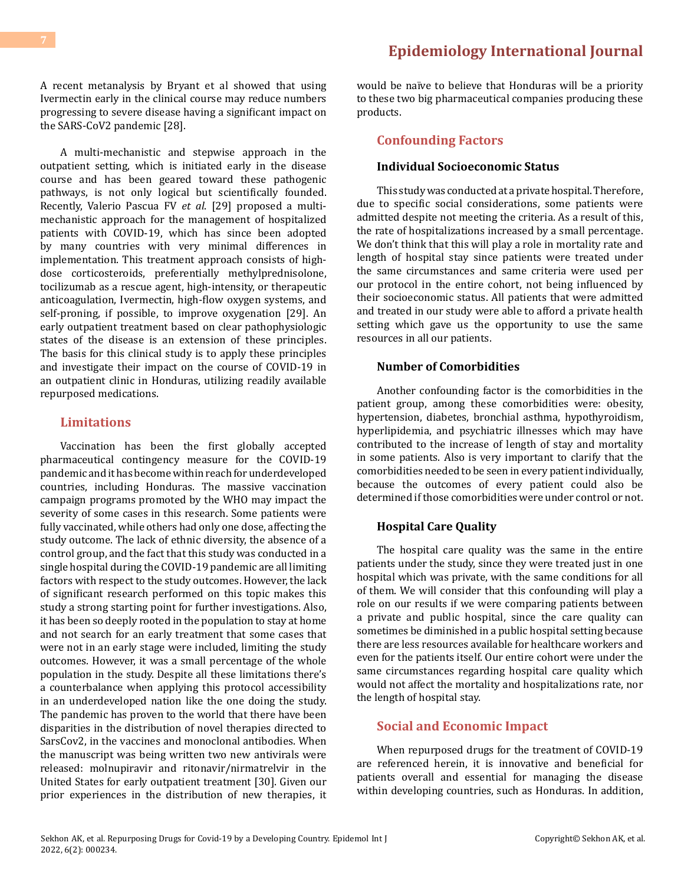A recent metanalysis by Bryant et al showed that using Ivermectin early in the clinical course may reduce numbers progressing to severe disease having a significant impact on the SARS-CoV2 pandemic [28].

A multi-mechanistic and stepwise approach in the outpatient setting, which is initiated early in the disease course and has been geared toward these pathogenic pathways, is not only logical but scientifically founded. Recently, Valerio Pascua FV *et al*. [29] proposed a multimechanistic approach for the management of hospitalized patients with COVID-19, which has since been adopted by many countries with very minimal differences in implementation. This treatment approach consists of highdose corticosteroids, preferentially methylprednisolone, tocilizumab as a rescue agent, high-intensity, or therapeutic anticoagulation, Ivermectin, high-flow oxygen systems, and self-proning, if possible, to improve oxygenation [29]. An early outpatient treatment based on clear pathophysiologic states of the disease is an extension of these principles. The basis for this clinical study is to apply these principles and investigate their impact on the course of COVID-19 in an outpatient clinic in Honduras, utilizing readily available repurposed medications.

### **Limitations**

Vaccination has been the first globally accepted pharmaceutical contingency measure for the COVID-19 pandemic and it has become within reach for underdeveloped countries, including Honduras. The massive vaccination campaign programs promoted by the WHO may impact the severity of some cases in this research. Some patients were fully vaccinated, while others had only one dose, affecting the study outcome. The lack of ethnic diversity, the absence of a control group, and the fact that this study was conducted in a single hospital during the COVID-19 pandemic are all limiting factors with respect to the study outcomes. However, the lack of significant research performed on this topic makes this study a strong starting point for further investigations. Also, it has been so deeply rooted in the population to stay at home and not search for an early treatment that some cases that were not in an early stage were included, limiting the study outcomes. However, it was a small percentage of the whole population in the study. Despite all these limitations there's a counterbalance when applying this protocol accessibility in an underdeveloped nation like the one doing the study. The pandemic has proven to the world that there have been disparities in the distribution of novel therapies directed to SarsCov2, in the vaccines and monoclonal antibodies. When the manuscript was being written two new antivirals were released: molnupiravir and ritonavir/nirmatrelvir in the United States for early outpatient treatment [30]. Given our prior experiences in the distribution of new therapies, it would be naïve to believe that Honduras will be a priority to these two big pharmaceutical companies producing these products.

### **Confounding Factors**

### **Individual Socioeconomic Status**

This study was conducted at a private hospital. Therefore, due to specific social considerations, some patients were admitted despite not meeting the criteria. As a result of this, the rate of hospitalizations increased by a small percentage. We don't think that this will play a role in mortality rate and length of hospital stay since patients were treated under the same circumstances and same criteria were used per our protocol in the entire cohort, not being influenced by their socioeconomic status. All patients that were admitted and treated in our study were able to afford a private health setting which gave us the opportunity to use the same resources in all our patients.

#### **Number of Comorbidities**

Another confounding factor is the comorbidities in the patient group, among these comorbidities were: obesity, hypertension, diabetes, bronchial asthma, hypothyroidism, hyperlipidemia, and psychiatric illnesses which may have contributed to the increase of length of stay and mortality in some patients. Also is very important to clarify that the comorbidities needed to be seen in every patient individually, because the outcomes of every patient could also be determined if those comorbidities were under control or not.

### **Hospital Care Quality**

The hospital care quality was the same in the entire patients under the study, since they were treated just in one hospital which was private, with the same conditions for all of them. We will consider that this confounding will play a role on our results if we were comparing patients between a private and public hospital, since the care quality can sometimes be diminished in a public hospital setting because there are less resources available for healthcare workers and even for the patients itself. Our entire cohort were under the same circumstances regarding hospital care quality which would not affect the mortality and hospitalizations rate, nor the length of hospital stay.

### **Social and Economic Impact**

When repurposed drugs for the treatment of COVID-19 are referenced herein, it is innovative and beneficial for patients overall and essential for managing the disease within developing countries, such as Honduras. In addition,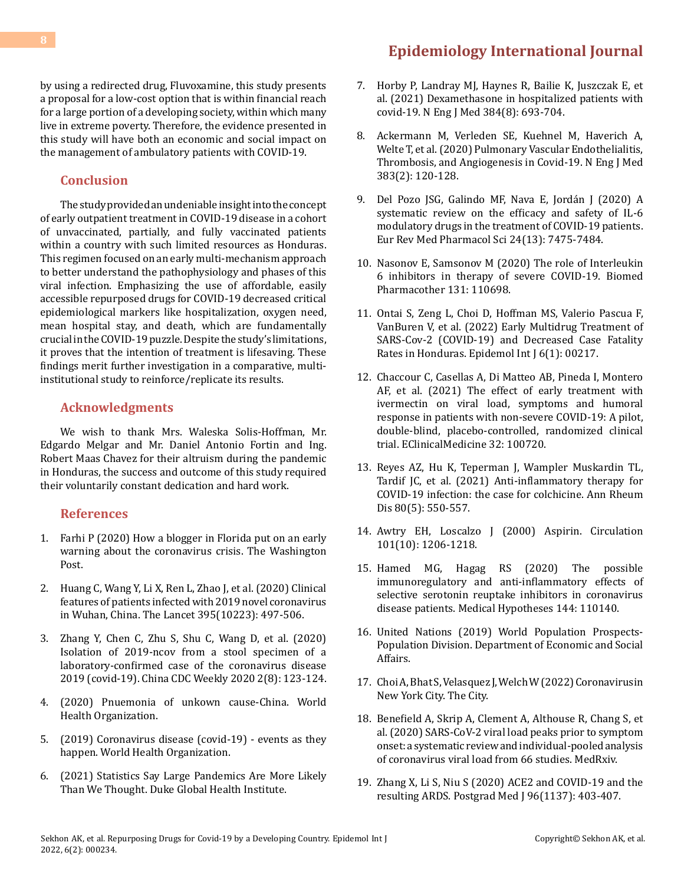### by using a redirected drug, Fluvoxamine, this study presents a proposal for a low-cost option that is within financial reach for a large portion of a developing society, within which many live in extreme poverty. Therefore, the evidence presented in this study will have both an economic and social impact on the management of ambulatory patients with COVID-19.

### **Conclusion**

The study provided an undeniable insight into the concept of early outpatient treatment in COVID-19 disease in a cohort of unvaccinated, partially, and fully vaccinated patients within a country with such limited resources as Honduras. This regimen focused on an early multi-mechanism approach to better understand the pathophysiology and phases of this viral infection. Emphasizing the use of affordable, easily accessible repurposed drugs for COVID-19 decreased critical epidemiological markers like hospitalization, oxygen need, mean hospital stay, and death, which are fundamentally crucial in the COVID-19 puzzle. Despite the study's limitations, it proves that the intention of treatment is lifesaving. These findings merit further investigation in a comparative, multiinstitutional study to reinforce/replicate its results.

### **Acknowledgments**

We wish to thank Mrs. Waleska Solis-Hoffman, Mr. Edgardo Melgar and Mr. Daniel Antonio Fortin and Ing. Robert Maas Chavez for their altruism during the pandemic in Honduras, the success and outcome of this study required their voluntarily constant dedication and hard work.

#### **References**

- 1. [Farhi P \(2020\) How a blogger in Florida put on an early](https://www.washingtonpost.com/lifestyle/media/the-first-reporter-in-the-western-world-to-spot-the-coronavirus-crisis-was-a-blogger-in-florida/2020/03/13/244f39e6-6476-11ea-acca-80c22bbee96f_story.html) [warning about the coronavirus crisis. The Washington](https://www.washingtonpost.com/lifestyle/media/the-first-reporter-in-the-western-world-to-spot-the-coronavirus-crisis-was-a-blogger-in-florida/2020/03/13/244f39e6-6476-11ea-acca-80c22bbee96f_story.html) [Post.](https://www.washingtonpost.com/lifestyle/media/the-first-reporter-in-the-western-world-to-spot-the-coronavirus-crisis-was-a-blogger-in-florida/2020/03/13/244f39e6-6476-11ea-acca-80c22bbee96f_story.html)
- 2. [Huang C, Wang Y, Li X, Ren L, Zhao J, et al. \(2020\) Clinical](https://pubmed.ncbi.nlm.nih.gov/31986264/) [features of patients infected with 2019 novel coronavirus](https://pubmed.ncbi.nlm.nih.gov/31986264/) [in Wuhan, China. The Lancet 395\(10223\): 497-506.](https://pubmed.ncbi.nlm.nih.gov/31986264/)
- 3. [Zhang Y, Chen C, Zhu S, Shu C, Wang D, et al. \(2020\)](https://pubmed.ncbi.nlm.nih.gov/34594837/) [Isolation of 2019-ncov from a stool specimen of a](https://pubmed.ncbi.nlm.nih.gov/34594837/) [laboratory-confirmed case of the coronavirus disease](https://pubmed.ncbi.nlm.nih.gov/34594837/) [2019 \(covid-19\). China CDC Weekly 2020 2\(8\): 123-124.](https://pubmed.ncbi.nlm.nih.gov/34594837/)
- 4. [\(2020\) Pnuemonia of unkown cause-China. World](https://www.who.int/emergencies/disease-outbreak-news/item/2020-DON229) [Health Organization.](https://www.who.int/emergencies/disease-outbreak-news/item/2020-DON229)
- 5. [\(2019\) Coronavirus disease \(covid-19\) events as they](https://www.who.int/emergencies/diseases/novel-coronavirus-2019/events-as-they-happen) [happen. World Health Organization.](https://www.who.int/emergencies/diseases/novel-coronavirus-2019/events-as-they-happen)
- 6. (2021) Statistics Say Large Pandemics Are More Likely Than We Thought. Duke Global Health Institute.

### **[Epidemiology International Journal](https://medwinpublishers.com/EIJ/)**

- 7. [Horby P, Landray MJ, Haynes R, Bailie K, Juszczak E, et](https://pubmed.ncbi.nlm.nih.gov/32678530/)  [al. \(2021\) Dexamethasone in hospitalized patients with](https://pubmed.ncbi.nlm.nih.gov/32678530/)  [covid-19. N Eng J Med 384\(8\): 693-704.](https://pubmed.ncbi.nlm.nih.gov/32678530/)
- 8. [Ackermann M, Verleden SE, Kuehnel M, Haverich A,](https://pubmed.ncbi.nlm.nih.gov/32437596/)  [Welte T, et al. \(2020\) Pulmonary Vascular Endothelialitis,](https://pubmed.ncbi.nlm.nih.gov/32437596/)  [Thrombosis, and Angiogenesis in Covid-19. N Eng J Med](https://pubmed.ncbi.nlm.nih.gov/32437596/) [383\(2\): 120-128.](https://pubmed.ncbi.nlm.nih.gov/32437596/)
- 9. [Del Pozo JSG, Galindo MF, Nava E, Jordán J \(2020\) A](https://pubmed.ncbi.nlm.nih.gov/32706087/)  [systematic review on the efficacy and safety of IL-6](https://pubmed.ncbi.nlm.nih.gov/32706087/) [modulatory drugs in the treatment of COVID-19 patients.](https://pubmed.ncbi.nlm.nih.gov/32706087/)  [Eur Rev Med Pharmacol Sci 24\(13\): 7475-7484.](https://pubmed.ncbi.nlm.nih.gov/32706087/)
- 10. [Nasonov E, Samsonov M \(2020\) The role of Interleukin](https://pubmed.ncbi.nlm.nih.gov/32920514/)  [6 inhibitors in therapy of severe COVID-19. Biomed](https://pubmed.ncbi.nlm.nih.gov/32920514/)  [Pharmacother 131: 110698.](https://pubmed.ncbi.nlm.nih.gov/32920514/)
- 11. [Ontai S, Zeng L, Choi D, Hoffman MS, Valerio Pascua F,](https://medwinpublishers.com/EIJ/early-multidrug-treatment-of-sars-cov-2-covid-19-and-decreased-case-fatality-rates-in-honduras.pdf)  [VanBuren V, et al. \(2022\) Early Multidrug Treatment of](https://medwinpublishers.com/EIJ/early-multidrug-treatment-of-sars-cov-2-covid-19-and-decreased-case-fatality-rates-in-honduras.pdf)  [SARS-Cov-2 \(COVID-19\) and Decreased Case Fatality](https://medwinpublishers.com/EIJ/early-multidrug-treatment-of-sars-cov-2-covid-19-and-decreased-case-fatality-rates-in-honduras.pdf)  [Rates in Honduras. Epidemol Int J 6\(1\): 00217.](https://medwinpublishers.com/EIJ/early-multidrug-treatment-of-sars-cov-2-covid-19-and-decreased-case-fatality-rates-in-honduras.pdf)
- 12. Chaccour C, Casellas A, Di Matteo AB, Pineda I, Montero AF, et al. (2021) The effect of early treatment with ivermectin on viral load, symptoms and humoral response in patients with non-severe COVID-19: A pilot, double-blind, placebo-controlled, randomized clinical trial. EClinicalMedicine 32: 100720.
- 13. [Reyes AZ, Hu K, Teperman J, Wampler Muskardin TL,](https://pubmed.ncbi.nlm.nih.gov/33293273/)  [Tardif JC, et al. \(2021\) Anti-inflammatory therapy for](https://pubmed.ncbi.nlm.nih.gov/33293273/) [COVID-19 infection: the case for colchicine. Ann Rheum](https://pubmed.ncbi.nlm.nih.gov/33293273/) [Dis 80\(5\): 550-557.](https://pubmed.ncbi.nlm.nih.gov/33293273/)
- 14. [Awtry EH, Loscalzo J \(2000\) Aspirin. Circulation](https://pubmed.ncbi.nlm.nih.gov/10715270/)  [101\(10\): 1206-1218.](https://pubmed.ncbi.nlm.nih.gov/10715270/)
- 15. [Hamed MG, Hagag RS \(2020\) The possible](https://pubmed.ncbi.nlm.nih.gov/32768893/) [immunoregulatory and anti-inflammatory effects of](https://pubmed.ncbi.nlm.nih.gov/32768893/) [selective serotonin reuptake inhibitors in coronavirus](https://pubmed.ncbi.nlm.nih.gov/32768893/) [disease patients. Medical Hypotheses 144: 110140.](https://pubmed.ncbi.nlm.nih.gov/32768893/)
- 16. [United Nations \(2019\) World Population Prospects-](https://population.un.org/wpp/)[Population Division. Department of Economic and Social](https://population.un.org/wpp/) [Affairs.](https://population.un.org/wpp/)
- 17. [Choi A, Bhat S, Velasquez J, Welch W \(2022\) Coronavirusin](https://projects.thecity.nyc/2020_03_covid-19-tracker/?_ga=2.223607634.819780552.1638753769-825759891.1555623820)  [New York City. The City.](https://projects.thecity.nyc/2020_03_covid-19-tracker/?_ga=2.223607634.819780552.1638753769-825759891.1555623820)
- 18. [Benefield A, Skrip A, Clement A, Althouse R, Chang S, et](https://www.medrxiv.org/content/10.1101/2020.09.28.20202028v1)  [al. \(2020\) SARS-CoV-2 viral load peaks prior to symptom](https://www.medrxiv.org/content/10.1101/2020.09.28.20202028v1)  [onset: a systematic review and individual-pooled analysis](https://www.medrxiv.org/content/10.1101/2020.09.28.20202028v1)  [of coronavirus viral load from 66 studies. MedRxiv.](https://www.medrxiv.org/content/10.1101/2020.09.28.20202028v1)
- 19. [Zhang X, Li S, Niu S \(2020\) ACE2 and COVID-19 and the](https://pubmed.ncbi.nlm.nih.gov/32522846/)  [resulting ARDS. Postgrad Med J 96\(1137\): 403-407.](https://pubmed.ncbi.nlm.nih.gov/32522846/)